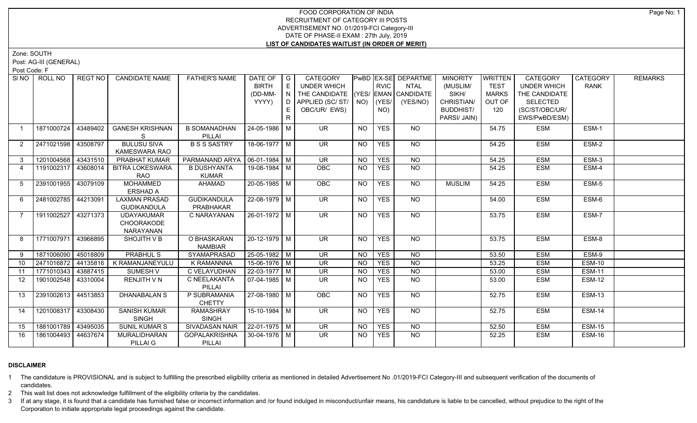# FOOD CORPORATION OF INDIA RECRUITMENT OF CATEGORY III POSTS ADVERTISEMENT NO. 01/2019-FCI Category-III DATE OF PHASE-II EXAM : 27th July, 2019 **LIST OF CANDIDATES WAITLIST (IN ORDER OF MERIT)**

Zone: SOUTH

Post: AG-III (GENERAL)

Post Code: F

| SI NO I           | ROLL NO             | REGT NO  | <b>CANDIDATE NAME</b>                        | <b>FATHER'S NAME</b>               | DATE OF<br><b>BIRTH</b><br>(DD-MM-<br>YYYY) | $\overline{\phantom{a}}$ G<br>E<br>N<br>D<br>E | CATEGORY<br><b>UNDER WHICH</b><br>THE CANDIDATE (YES/ EMAN CANDIDATE<br>APPLIED (SC/ST/<br>OBC/UR/ EWS) |                 | <b>RVIC</b><br>$NO)$ (YES/<br>NO) | PwBD EX-SE DEPARTME<br><b>NTAL</b><br>(YES/NO) | <b>MINORITY</b><br>(MUSLIM/<br>SIKH/<br>CHRISTIAN/<br><b>BUDDHIST/</b><br>PARSI/ JAIN) | <b>WRITTEN</b><br><b>TEST</b><br><b>MARKS</b><br>OUT OF<br>120 | <b>CATEGORY</b><br><b>UNDER WHICH</b><br>THE CANDIDATE<br><b>SELECTED</b><br>(SC/ST/OBC/UR/<br>EWS/PwBD/ESM) | <b>CATEGORY</b><br><b>RANK</b> | <b>REMARKS</b> |
|-------------------|---------------------|----------|----------------------------------------------|------------------------------------|---------------------------------------------|------------------------------------------------|---------------------------------------------------------------------------------------------------------|-----------------|-----------------------------------|------------------------------------------------|----------------------------------------------------------------------------------------|----------------------------------------------------------------|--------------------------------------------------------------------------------------------------------------|--------------------------------|----------------|
| $\overline{1}$    | 1871000724          | 43489402 | <b>GANESH KRISHNAN</b><br>S.                 | <b>B SOMANADHAN</b><br>PILLAI      | 24-05-1986 M                                |                                                | <b>UR</b>                                                                                               | <b>NO</b>       | <b>YES</b>                        | NO                                             |                                                                                        | 54.75                                                          | <b>ESM</b>                                                                                                   | ESM-1                          |                |
| $\overline{2}$    | 2471021598 43508797 |          | <b>BULUSU SIVA</b><br>KAMESWARA RAO          | <b>B S S SASTRY</b>                | 18-06-1977 M                                |                                                | <b>UR</b>                                                                                               | <b>NO</b>       | <b>YES</b>                        | <b>NO</b>                                      |                                                                                        | 54.25                                                          | <b>ESM</b>                                                                                                   | ESM-2                          |                |
| 3                 | 1201004568 43431510 |          | PRABHAT KUMAR                                | PARMANAND ARYA                     | $06 - 01 - 1984$ M                          |                                                | $\overline{\mathsf{UR}}$                                                                                | $\overline{NO}$ | <b>YES</b>                        | $\overline{NQ}$                                |                                                                                        | 54.25                                                          | <b>ESM</b>                                                                                                   | ESM-3                          |                |
| $\overline{4}$    | 1191002317 43608014 |          | <b>BITRA LOKESWARA</b><br>RAO                | <b>B DUSHYANTA</b><br><b>KUMAR</b> | 19-08-1984 M                                |                                                | OBC                                                                                                     | <b>NO</b>       | <b>YES</b>                        | $N$ <sup>O</sup>                               |                                                                                        | 54.25                                                          | <b>ESM</b>                                                                                                   | ESM-4                          |                |
| $5^{\circ}$       | 2391001955 43079109 |          | <b>MOHAMMED</b><br>ERSHAD A                  | AHAMAD                             | 20-05-1985 M                                |                                                | OBC                                                                                                     | <b>NO</b>       | <b>YES</b>                        | <b>NO</b>                                      | <b>MUSLIM</b>                                                                          | 54.25                                                          | <b>ESM</b>                                                                                                   | ESM-5                          |                |
| 6                 | 2481002785 44213091 |          | <b>LAXMAN PRASAD</b><br><b>GUDIKANDULA</b>   | <b>GUDIKANDULA</b><br>PRABHAKAR    | 22-08-1979 M                                |                                                | <b>UR</b>                                                                                               | <b>NO</b>       | <b>YES</b>                        | $N$ O                                          |                                                                                        | 54.00                                                          | <b>ESM</b>                                                                                                   | ESM-6                          |                |
|                   | 1911002527          | 43271373 | <b>UDAYAKUMAR</b><br>CHOORAKODE<br>NARAYANAN | C NARAYANAN                        | 26-01-1972 M                                |                                                | $\overline{\mathsf{UR}}$                                                                                | NO              | <b>YES</b>                        | NO                                             |                                                                                        | 53.75                                                          | <b>ESM</b>                                                                                                   | ESM-7                          |                |
| 8                 | 1771007971          | 43966895 | SHOJITH V B                                  | O BHASKARAN<br><b>NAMBIAR</b>      | 20-12-1979 M                                |                                                | <b>UR</b>                                                                                               | NO.             | <b>YES</b>                        | NO                                             |                                                                                        | 53.75                                                          | <b>ESM</b>                                                                                                   | ESM-8                          |                |
| 9                 | 1871006090          | 45018809 | <b>PRABHUL S</b>                             | SYAMAPRASAD                        | 25-05-1982 M                                |                                                | UR                                                                                                      | NO.             | <b>YES</b>                        | <b>NO</b>                                      |                                                                                        | 53.50                                                          | <b>ESM</b>                                                                                                   | ESM-9                          |                |
| 10                | 2471016872 44135816 |          | K RAMANJANEYULU                              | K RAMANNNA                         | 15-06-1976 M                                |                                                | UR                                                                                                      | $N$ O           | <b>YES</b>                        | N <sub>O</sub>                                 |                                                                                        | 53.25                                                          | <b>ESM</b>                                                                                                   | <b>ESM-10</b>                  |                |
| 11                | 1771010343          | 43887415 | <b>SUMESH V</b>                              | C VELAYUDHAN                       | 22-03-1977 M                                |                                                | UR                                                                                                      | <b>NO</b>       | <b>YES</b>                        | $N$ O                                          |                                                                                        | 53.00                                                          | <b>ESM</b>                                                                                                   | <b>ESM-11</b>                  |                |
| $12 \overline{ }$ | 1901002548 43310004 |          | RENJITH V N                                  | C NEELAKANTA<br>PILLAI             | 07-04-1985   M                              |                                                | <b>UR</b>                                                                                               | NO.             | <b>YES</b>                        | N <sub>O</sub>                                 |                                                                                        | 53.00                                                          | <b>ESM</b>                                                                                                   | <b>ESM-12</b>                  |                |
| 13                | 2391002613 44513853 |          | <b>DHANABALAN S</b>                          | P SUBRAMANIA<br><b>CHETTY</b>      | 27-08-1980 M                                |                                                | OBC                                                                                                     | <b>NO</b>       | <b>YES</b>                        | <b>NO</b>                                      |                                                                                        | 52.75                                                          | <b>ESM</b>                                                                                                   | <b>ESM-13</b>                  |                |
| 14                | 1201008317 43308430 |          | <b>SANISH KUMAR</b><br><b>SINGH</b>          | <b>RAMASHRAY</b><br><b>SINGH</b>   | 15-10-1984 M                                |                                                | $\overline{\mathsf{UR}}$                                                                                | <b>NO</b>       | <b>YES</b>                        | $N$ <sup>O</sup>                               |                                                                                        | 52.75                                                          | <b>ESM</b>                                                                                                   | ESM-14                         |                |
| 15                | 1881001789 43495035 |          | <b>SUNIL KUMAR S</b>                         | <b>SIVADASAN NAIR</b>              | $22-01-1975$ M                              |                                                | <b>UR</b>                                                                                               | <b>NO</b>       | <b>YES</b>                        | NO                                             |                                                                                        | 52.50                                                          | <b>ESM</b>                                                                                                   | <b>ESM-15</b>                  |                |
| 16                | 1861004493 44637674 |          | MURALIDHARAN<br>PILLAI G                     | <b>GOPALAKRISHNA</b><br>PILLAI     | 30-04-1976 M                                |                                                | UR.                                                                                                     | NO.             | <b>YES</b>                        | <b>NO</b>                                      |                                                                                        | 52.25                                                          | <b>ESM</b>                                                                                                   | <b>ESM-16</b>                  |                |

# **DISCLAIMER**

1 The candidature is PROVISIONAL and is subject to fulfilling the prescribed eligibility criteria as mentioned in detailed Advertisement No .01/2019-FCI Category-III and subsequent verification of the documents of candidates.

2 This wait list does not acknowledge fulfillment of the eligibility criteria by the candidates.

3 If at any stage, it is found that a candidate has furnished false or incorrect information and /or found indulged in misconduct/unfair means, his candidature is liable to be cancelled, without prejudice to the right of t Corporation to initiate appropriate legal proceedings against the candidate.

Page No: 1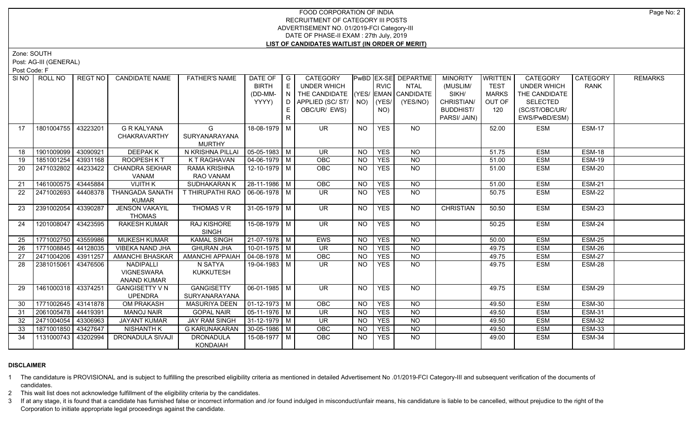# FOOD CORPORATION OF INDIA RECRUITMENT OF CATEGORY III POSTS ADVERTISEMENT NO. 01/2019-FCI Category-III DATE OF PHASE-II EXAM : 27th July, 2019 **LIST OF CANDIDATES WAITLIST (IN ORDER OF MERIT)**

Zone: SOUTH

Post: AG-III (GENERAL)

Post Code: F

| SI NO I | ROLL NO               | REGT NO  | <b>CANDIDATE NAME</b>                                | <b>FATHER'S NAME</b>                | DATE OF<br><b>BIRTH</b><br>(DD-MM-<br>YYYY) | I G<br>E<br>IN.<br>D.<br>E<br>$\mathsf{R}$ | CATEGORY<br><b>UNDER WHICH</b><br>THE CANDIDATE (YES/ EMAN CANDIDATE<br>APPLIED (SC/ST/ NO)<br>OBC/UR/ EWS) |           | <b>RVIC</b><br>(YES/<br>NO) | PwBD EX-SE DEPARTME<br><b>NTAL</b><br>(YES/NO) | <b>MINORITY</b><br>(MUSLIM/<br>SIKH/<br>CHRISTIAN/<br><b>BUDDHIST/</b><br>PARSI/ JAIN) | <b>WRITTEN</b><br><b>TEST</b><br><b>MARKS</b><br>OUT OF<br>120 | <b>CATEGORY</b><br><b>UNDER WHICH</b><br>THE CANDIDATE<br><b>SELECTED</b><br>(SC/ST/OBC/UR/<br>EWS/PwBD/ESM) | CATEGORY<br><b>RANK</b> | <b>REMARKS</b> |
|---------|-----------------------|----------|------------------------------------------------------|-------------------------------------|---------------------------------------------|--------------------------------------------|-------------------------------------------------------------------------------------------------------------|-----------|-----------------------------|------------------------------------------------|----------------------------------------------------------------------------------------|----------------------------------------------------------------|--------------------------------------------------------------------------------------------------------------|-------------------------|----------------|
| 17      | 1801004755            | 43223201 | <b>G R KALYANA</b><br><b>CHAKRAVARTHY</b>            | G<br>SURYANARAYANA<br><b>MURTHY</b> | 18-08-1979 M                                |                                            | <b>UR</b>                                                                                                   | <b>NO</b> | <b>YES</b>                  | NO.                                            |                                                                                        | 52.00                                                          | <b>ESM</b>                                                                                                   | <b>ESM-17</b>           |                |
| 18      | 1901009099            | 43090921 | <b>DEEPAKK</b>                                       | N KRISHNA PILLAI                    | $\sqrt{05-05-1983}$ M                       |                                            | $\overline{\mathsf{UR}}$                                                                                    | <b>NO</b> | <b>YES</b>                  | $N$ <sup>O</sup>                               |                                                                                        | 51.75                                                          | <b>ESM</b>                                                                                                   | <b>ESM-18</b>           |                |
| 19      | 1851001254            | 43931168 | ROOPESH KT                                           | K T RAGHAVAN                        | 04-06-1979   M                              |                                            | <b>OBC</b>                                                                                                  | <b>NO</b> | <b>YES</b>                  | $N$ O                                          |                                                                                        | 51.00                                                          | <b>ESM</b>                                                                                                   | <b>ESM-19</b>           |                |
| 20      | 2471032802            | 44233422 | <b>CHANDRA SEKHAR</b><br>VANAM                       | <b>RAMA KRISHNA</b><br>RAO VANAM    | 12-10-1979 M                                |                                            | <b>OBC</b>                                                                                                  | <b>NO</b> | <b>YES</b>                  | NO                                             |                                                                                        | 51.00                                                          | <b>ESM</b>                                                                                                   | ESM-20                  |                |
| 21      | 1461000575            | 43445884 | <b>VIJITH K</b>                                      | <b>SUDHAKARAN K</b>                 | 28-11-1986 M                                |                                            | <b>OBC</b>                                                                                                  | <b>NO</b> | <b>YES</b>                  | $N$ <sup>O</sup>                               |                                                                                        | 51.00                                                          | <b>ESM</b>                                                                                                   | <b>ESM-21</b>           |                |
| 22      | 2471002693            | 44408378 | <b>THANGADA SANATH</b><br><b>KUMAR</b>               | T THIRUPATHI RAO   06-06-1978   M   |                                             |                                            | $\overline{\mathsf{UR}}$                                                                                    | <b>NO</b> | <b>YES</b>                  | $N$ <sup>O</sup>                               |                                                                                        | 50.75                                                          | <b>ESM</b>                                                                                                   | <b>ESM-22</b>           |                |
| 23      | 2391002054            | 43390287 | <b>JENSON VAKAYIL</b><br><b>THOMAS</b>               | THOMAS V R                          | 31-05-1979 M                                |                                            | <b>UR</b>                                                                                                   | <b>NO</b> | <b>YES</b>                  | NO                                             | <b>CHRISTIAN</b>                                                                       | 50.50                                                          | <b>ESM</b>                                                                                                   | ESM-23                  |                |
| 24      | 1201008047            | 43423595 | <b>RAKESH KUMAR</b>                                  | RAJ KISHORE<br><b>SINGH</b>         | 15-08-1979 M                                |                                            | UR.                                                                                                         | NO.       | <b>YES</b>                  | NO.                                            |                                                                                        | 50.25                                                          | <b>ESM</b>                                                                                                   | <b>ESM-24</b>           |                |
| 25      | 1771002750            | 43559986 | <b>MUKESH KUMAR</b>                                  | <b>KAMAL SINGH</b>                  | $21-07-1978$ M                              |                                            | <b>EWS</b>                                                                                                  | <b>NO</b> | <b>YES</b>                  | $\overline{NO}$                                |                                                                                        | 50.00                                                          | <b>ESM</b>                                                                                                   | <b>ESM-25</b>           |                |
| 26      | 1771008845            | 44128035 | VIBEKA NAND JHA                                      | <b>GHURAN JHA</b>                   | $10-01-1975$ M                              |                                            | <b>UR</b>                                                                                                   | <b>NO</b> | <b>YES</b>                  | <b>NO</b>                                      |                                                                                        | 49.75                                                          | <b>ESM</b>                                                                                                   | ESM-26                  |                |
| 27      | 2471004206            | 43911257 | AMANCHI BHASKAR                                      | <b>AMANCHI APPAIAH</b>              | $\vert$ 04-08-1978 $\vert$ M                |                                            | <b>OBC</b>                                                                                                  | <b>NO</b> | <b>YES</b>                  | $\overline{NO}$                                |                                                                                        | 49.75                                                          | <b>ESM</b>                                                                                                   | <b>ESM-27</b>           |                |
| 28      | 2381015061            | 43476506 | NADIPALLI<br><b>VIGNESWARA</b><br><b>ANAND KUMAR</b> | N SATYA<br><b>KUKKUTESH</b>         | 19-04-1983 M                                |                                            | UR.                                                                                                         | NO.       | <b>YES</b>                  | NO                                             |                                                                                        | 49.75                                                          | <b>ESM</b>                                                                                                   | ESM-28                  |                |
| 29      | 1461000318   43374251 |          | <b>GANGISETTY V N</b><br><b>UPENDRA</b>              | <b>GANGISETTY</b><br>SURYANARAYANA  | 06-01-1985   M                              |                                            | UR.                                                                                                         | NO.       | <b>YES</b>                  | NO.                                            |                                                                                        | 49.75                                                          | <b>ESM</b>                                                                                                   | ESM-29                  |                |
| 30      | 1771002645            | 43141878 | <b>OM PRAKASH</b>                                    | <b>MASURIYA DEEN</b>                | $\vert$ 01-12-1973 $\vert$ M                |                                            | OBC                                                                                                         | <b>NO</b> | <b>YES</b>                  | N <sub>O</sub>                                 |                                                                                        | 49.50                                                          | <b>ESM</b>                                                                                                   | <b>ESM-30</b>           |                |
| 31      | 2061005478 44419391   |          | <b>MANOJ NAIR</b>                                    | <b>GOPAL NAIR</b>                   | $\boxed{05 - 11 - 1976}$ M                  |                                            | $\overline{\mathsf{UR}}$                                                                                    | <b>NO</b> | <b>YES</b>                  | $\overline{NO}$                                |                                                                                        | 49.50                                                          | <b>ESM</b>                                                                                                   | <b>ESM-31</b>           |                |
| 32      | 2471004054            | 43306963 | <b>JAYANT KUMAR</b>                                  | <b>JAY RAM SINGH</b>                | $31-12-1979$ M                              |                                            | $\overline{\mathsf{UR}}$                                                                                    | <b>NO</b> | <b>YES</b>                  | N <sub>O</sub>                                 |                                                                                        | 49.50                                                          | <b>ESM</b>                                                                                                   | <b>ESM-32</b>           |                |
| 33      | 1871001850            | 43427647 | <b>NISHANTH K</b>                                    | <b>G KARUNAKARAN</b>                | 30-05-1986   M                              |                                            | OBC                                                                                                         | <b>NO</b> | <b>YES</b>                  | <b>NO</b>                                      |                                                                                        | 49.50                                                          | <b>ESM</b>                                                                                                   | <b>ESM-33</b>           |                |
| 34      | 1131000743            | 43202994 | <b>DRONADULA SIVAJI</b>                              | <b>DRONADULA</b><br>KONDAIAH        | 15-08-1977 M                                |                                            | <b>OBC</b>                                                                                                  | NO.       | <b>YES</b>                  | $\overline{NO}$                                |                                                                                        | 49.00                                                          | <b>ESM</b>                                                                                                   | <b>ESM-34</b>           |                |

# **DISCLAIMER**

1 The candidature is PROVISIONAL and is subject to fulfilling the prescribed eligibility criteria as mentioned in detailed Advertisement No .01/2019-FCI Category-III and subsequent verification of the documents of candidates.

2 This wait list does not acknowledge fulfillment of the eligibility criteria by the candidates.

3 If at any stage, it is found that a candidate has furnished false or incorrect information and /or found indulged in misconduct/unfair means, his candidature is liable to be cancelled, without prejudice to the right of t Corporation to initiate appropriate legal proceedings against the candidate.

Page No: 2